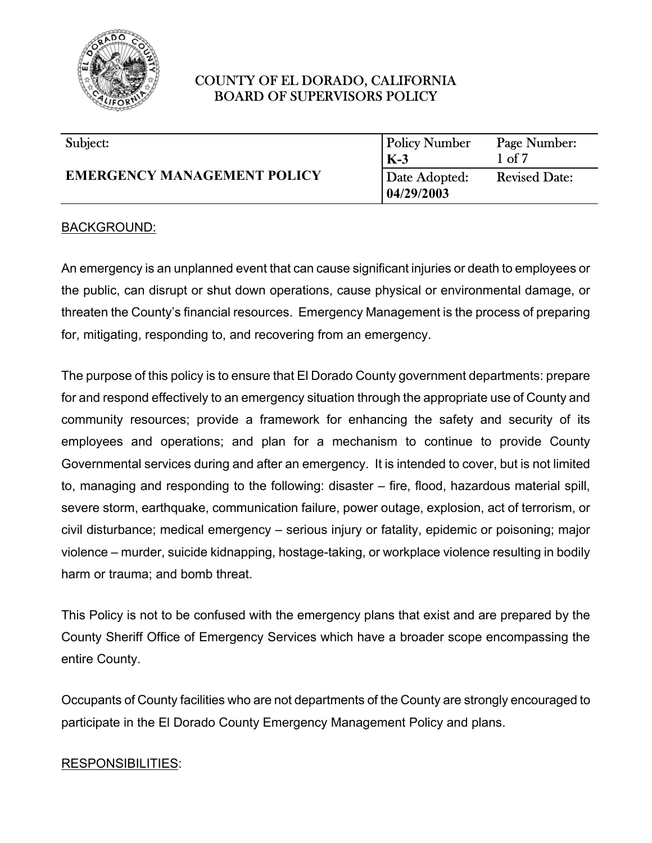

| Subject:                           | <b>Policy Number</b> | Page Number:         |
|------------------------------------|----------------------|----------------------|
|                                    | $K-3$                | $1 \text{ of } 7$    |
| <b>EMERGENCY MANAGEMENT POLICY</b> | Date Adopted:        | <b>Revised Date:</b> |
|                                    | 04/29/2003           |                      |

#### BACKGROUND:

An emergency is an unplanned event that can cause significant injuries or death to employees or the public, can disrupt or shut down operations, cause physical or environmental damage, or threaten the County's financial resources. Emergency Management is the process of preparing for, mitigating, responding to, and recovering from an emergency.

The purpose of this policy is to ensure that El Dorado County government departments: prepare for and respond effectively to an emergency situation through the appropriate use of County and community resources; provide a framework for enhancing the safety and security of its employees and operations; and plan for a mechanism to continue to provide County Governmental services during and after an emergency. It is intended to cover, but is not limited to, managing and responding to the following: disaster – fire, flood, hazardous material spill, severe storm, earthquake, communication failure, power outage, explosion, act of terrorism, or civil disturbance; medical emergency – serious injury or fatality, epidemic or poisoning; major violence – murder, suicide kidnapping, hostage-taking, or workplace violence resulting in bodily harm or trauma; and bomb threat.

This Policy is not to be confused with the emergency plans that exist and are prepared by the County Sheriff Office of Emergency Services which have a broader scope encompassing the entire County.

Occupants of County facilities who are not departments of the County are strongly encouraged to participate in the El Dorado County Emergency Management Policy and plans.

#### RESPONSIBILITIES: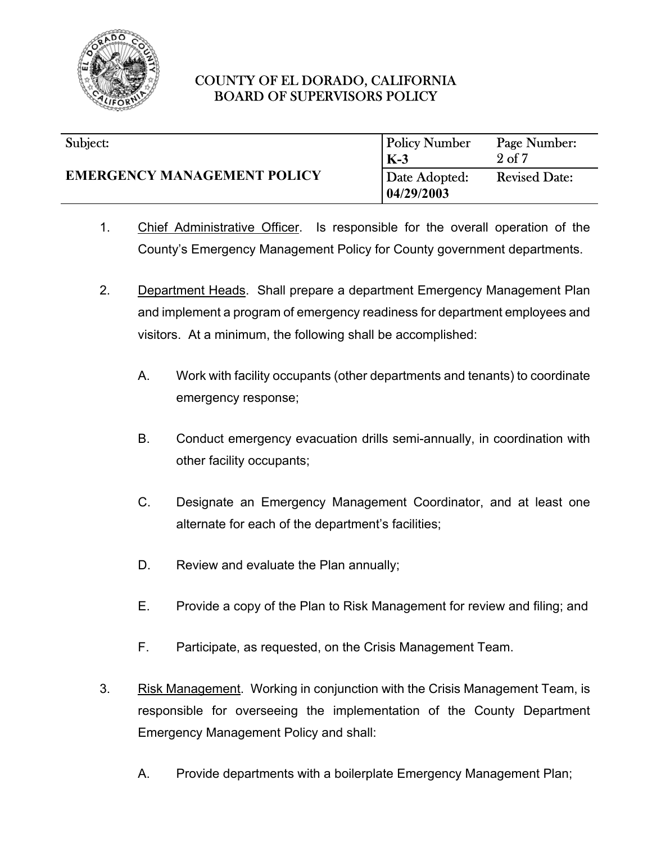

| Subject:                           | <b>Policy Number</b>                 | Page Number:<br>2 <sub>of</sub> 7 |
|------------------------------------|--------------------------------------|-----------------------------------|
| <b>EMERGENCY MANAGEMENT POLICY</b> | $K-3$<br>Date Adopted:<br>04/29/2003 | <b>Revised Date:</b>              |

- 1. Chief Administrative Officer. Is responsible for the overall operation of the County's Emergency Management Policy for County government departments.
- 2. Department Heads. Shall prepare a department Emergency Management Plan and implement a program of emergency readiness for department employees and visitors. At a minimum, the following shall be accomplished:
	- A. Work with facility occupants (other departments and tenants) to coordinate emergency response;
	- B. Conduct emergency evacuation drills semi-annually, in coordination with other facility occupants;
	- C. Designate an Emergency Management Coordinator, and at least one alternate for each of the department's facilities;
	- D. Review and evaluate the Plan annually;
	- E. Provide a copy of the Plan to Risk Management for review and filing; and
	- F. Participate, as requested, on the Crisis Management Team.
- 3. Risk Management. Working in conjunction with the Crisis Management Team, is responsible for overseeing the implementation of the County Department Emergency Management Policy and shall:
	- A. Provide departments with a boilerplate Emergency Management Plan;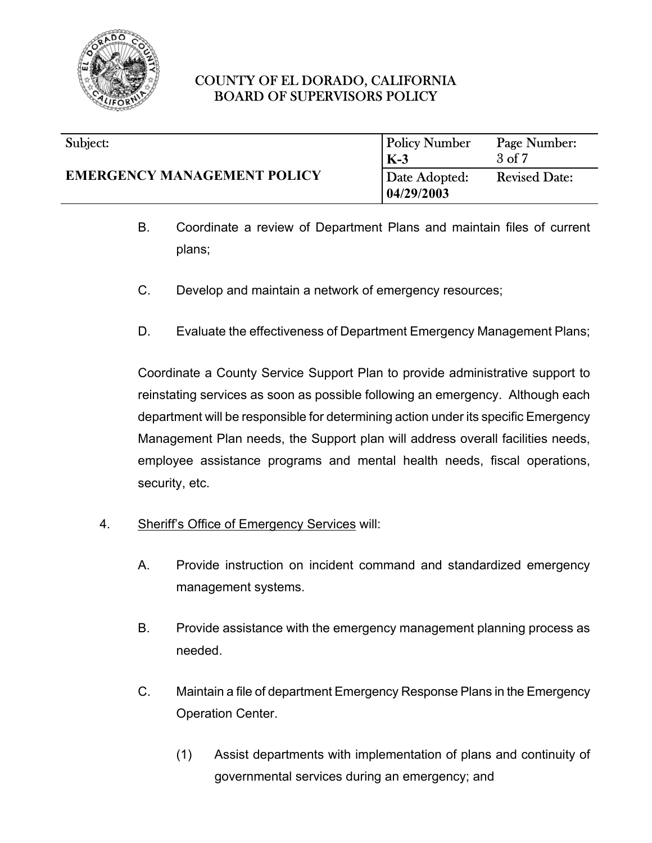

#### l Policy Number **K-3**  $\overline{a}$ Page Number:  $\frac{3 \text{ of } 7}{2 \text{ }}$  $\overline{\phantom{a}}$ Subject: **EMERGENCY MANAGEMENT POLICY** Date Adopted: **04/29/2003** Revised Date:

- B. Coordinate a review of Department Plans and maintain files of current plans;
- C. Develop and maintain a network of emergency resources;
- D. Evaluate the effectiveness of Department Emergency Management Plans;

Coordinate a County Service Support Plan to provide administrative support to reinstating services as soon as possible following an emergency. Although each department will be responsible for determining action under its specific Emergency Management Plan needs, the Support plan will address overall facilities needs, employee assistance programs and mental health needs, fiscal operations, security, etc.

- 4. Sheriff's Office of Emergency Services will:
	- A. Provide instruction on incident command and standardized emergency management systems.
	- B. Provide assistance with the emergency management planning process as needed.
	- C. Maintain a file of department Emergency Response Plans in the Emergency Operation Center.
		- (1) Assist departments with implementation of plans and continuity of governmental services during an emergency; and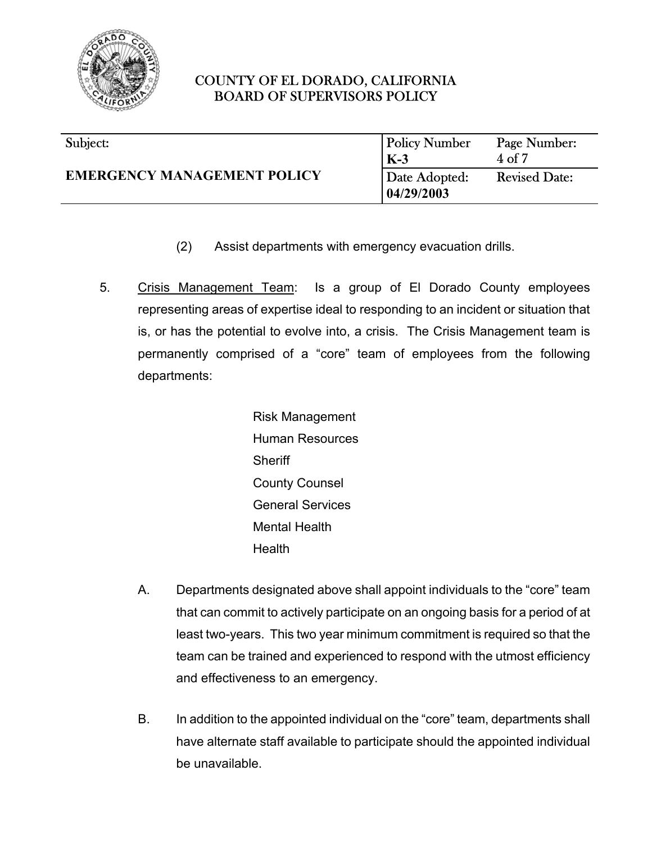

| Subject:                           | <b>Policy Number</b>         | Page Number:         |
|------------------------------------|------------------------------|----------------------|
|                                    | $K-3$                        | $4$ of $7$           |
| <b>EMERGENCY MANAGEMENT POLICY</b> | Date Adopted:<br> 04/29/2003 | <b>Revised Date:</b> |

- (2) Assist departments with emergency evacuation drills.
- 5. Crisis Management Team: Is a group of El Dorado County employees representing areas of expertise ideal to responding to an incident or situation that is, or has the potential to evolve into, a crisis. The Crisis Management team is permanently comprised of a "core" team of employees from the following departments:

Risk Management Human Resources **Sheriff** County Counsel General Services Mental Health Health

- A. Departments designated above shall appoint individuals to the "core" team that can commit to actively participate on an ongoing basis for a period of at least two-years. This two year minimum commitment is required so that the team can be trained and experienced to respond with the utmost efficiency and effectiveness to an emergency.
- B. In addition to the appointed individual on the "core" team, departments shall have alternate staff available to participate should the appointed individual be unavailable.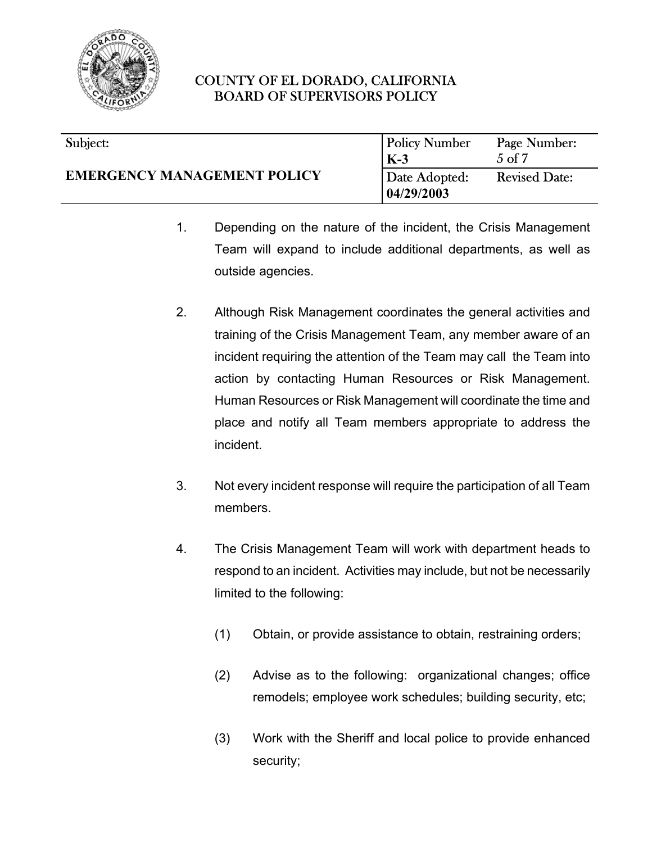

#### $\overline{\phantom{a}}$ Subject:

## **EMERGENCY MANAGEMENT POLICY**

| <b>Policy Number</b>        | Page Number:         |
|-----------------------------|----------------------|
| $K-3$                       | $5 \text{ of } 7$    |
| Date Adopted:<br>04/29/2003 | <b>Revised Date:</b> |

- 1. Depending on the nature of the incident, the Crisis Management Team will expand to include additional departments, as well as outside agencies.
- 2. Although Risk Management coordinates the general activities and training of the Crisis Management Team, any member aware of an incident requiring the attention of the Team may call the Team into action by contacting Human Resources or Risk Management. Human Resources or Risk Management will coordinate the time and place and notify all Team members appropriate to address the incident.
- 3. Not every incident response will require the participation of all Team members.
- 4. The Crisis Management Team will work with department heads to respond to an incident. Activities may include, but not be necessarily limited to the following:
	- (1) Obtain, or provide assistance to obtain, restraining orders;
	- (2) Advise as to the following: organizational changes; office remodels; employee work schedules; building security, etc;
	- (3) Work with the Sheriff and local police to provide enhanced security;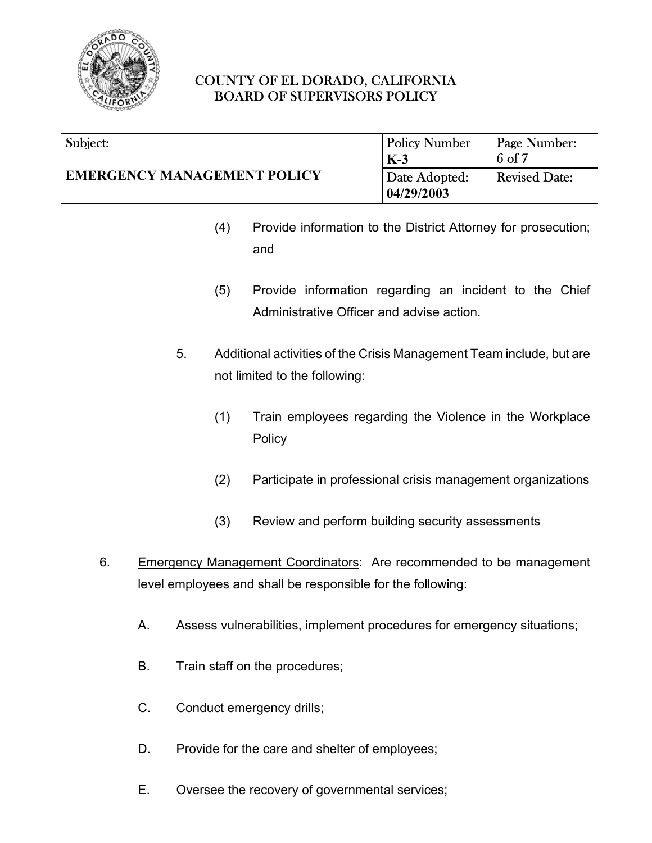

#### $\overline{\phantom{a}}$ Subject:

l Policy Number **K-3**  $\overline{a}$ Page Number:  $\frac{6 \text{ of } 7}{2 \text{ }}$ Date Adopted: **04/29/2003** Revised Date:

- (4) Provide information to the District Attorney for prosecution; and
- (5) Provide information regarding an incident to the Chief Administrative Officer and advise action.
- 5. Additional activities of the Crisis Management Team include, but are not limited to the following:
	- (1) Train employees regarding the Violence in the Workplace **Policy**
	- (2) Participate in professional crisis management organizations
	- (3) Review and perform building security assessments
- 6. Emergency Management Coordinators: Are recommended to be management level employees and shall be responsible for the following:
	- A. Assess vulnerabilities, implement procedures for emergency situations;
	- B. Train staff on the procedures;
	- C. Conduct emergency drills;
	- D. Provide for the care and shelter of employees;
	- E. Oversee the recovery of governmental services;